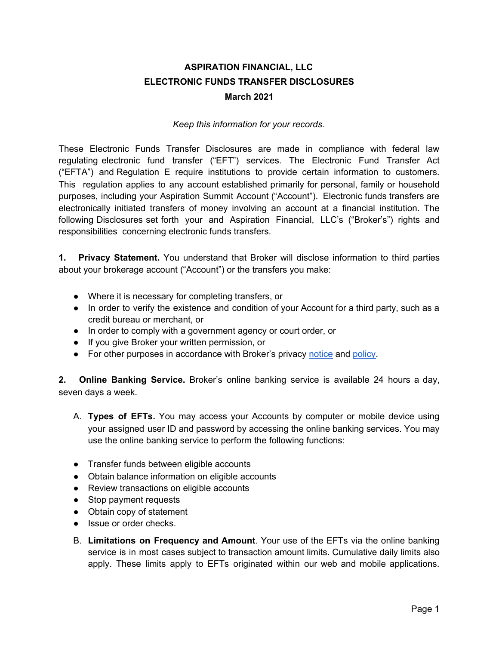# **ASPIRATION FINANCIAL, LLC ELECTRONIC FUNDS TRANSFER DISCLOSURES March 2021**

#### *Keep this information for your records.*

These Electronic Funds Transfer Disclosures are made in compliance with federal law regulating electronic fund transfer ("EFT") services. The Electronic Fund Transfer Act ("EFTA") and Regulation E require institutions to provide certain information to customers. This regulation applies to any account established primarily for personal, family or household purposes, including your Aspiration Summit Account ("Account"). Electronic funds transfers are electronically initiated transfers of money involving an account at a financial institution. The following Disclosures set forth your and Aspiration Financial, LLC's ("Broker's") rights and responsibilities concerning electronic funds transfers.

**1. Privacy Statement.** You understand that Broker will disclose information to third parties about your brokerage account ("Account") or the transfers you make:

- Where it is necessary for completing transfers, or
- In order to verify the existence and condition of your Account for a third party, such as a credit bureau or merchant, or
- In order to comply with a government agency or court order, or
- If you give Broker your written permission, or
- For other purposes in accordance with Broker's privacy [notice](https://assets.aspiration.com/docs/summit/Aspiration_Privacy_Notice.pdf) and [policy](https://www.aspiration.com/privacy-policy/).

**2. Online Banking Service.** Broker's online banking service is available 24 hours a day, seven days a week.

- A. **Types of EFTs.** You may access your Accounts by computer or mobile device using your assigned user ID and password by accessing the online banking services. You may use the online banking service to perform the following functions:
- Transfer funds between eligible accounts
- Obtain balance information on eligible accounts
- Review transactions on eligible accounts
- Stop payment requests
- Obtain copy of statement
- Issue or order checks.
- B. **Limitations on Frequency and Amount**. Your use of the EFTs via the online banking service is in most cases subject to transaction amount limits. Cumulative daily limits also apply. These limits apply to EFTs originated within our web and mobile applications.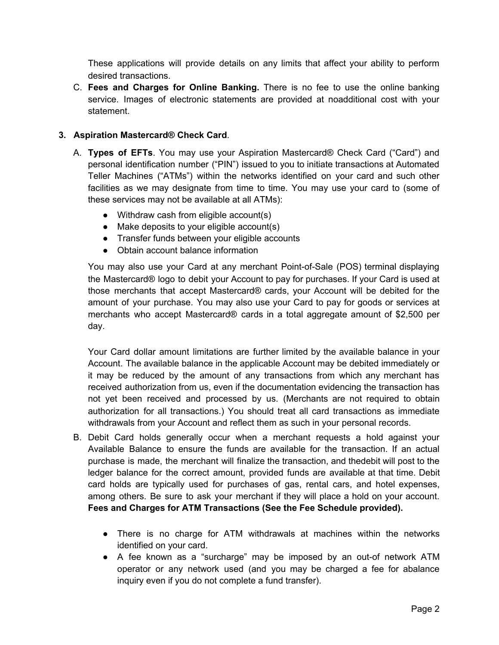These applications will provide details on any limits that affect your ability to perform desired transactions.

C. **Fees and Charges for Online Banking.** There is no fee to use the online banking service. Images of electronic statements are provided at noadditional cost with your statement.

### **3. Aspiration Mastercard® Check Card**.

- A. **Types of EFTs**. You may use your Aspiration Mastercard® Check Card ("Card") and personal identification number ("PIN") issued to you to initiate transactions at Automated Teller Machines ("ATMs") within the networks identified on your card and such other facilities as we may designate from time to time. You may use your card to (some of these services may not be available at all ATMs):
	- Withdraw cash from eligible account(s)
	- Make deposits to your eligible account(s)
	- Transfer funds between your eligible accounts
	- Obtain account balance information

You may also use your Card at any merchant Point-of-Sale (POS) terminal displaying the Mastercard® logo to debit your Account to pay for purchases. If your Card is used at those merchants that accept Mastercard® cards, your Account will be debited for the amount of your purchase. You may also use your Card to pay for goods or services at merchants who accept Mastercard® cards in a total aggregate amount of \$2,500 per day.

Your Card dollar amount limitations are further limited by the available balance in your Account. The available balance in the applicable Account may be debited immediately or it may be reduced by the amount of any transactions from which any merchant has received authorization from us, even if the documentation evidencing the transaction has not yet been received and processed by us. (Merchants are not required to obtain authorization for all transactions.) You should treat all card transactions as immediate withdrawals from your Account and reflect them as such in your personal records.

- B. Debit Card holds generally occur when a merchant requests a hold against your Available Balance to ensure the funds are available for the transaction. If an actual purchase is made, the merchant will finalize the transaction, and thedebit will post to the ledger balance for the correct amount, provided funds are available at that time. Debit card holds are typically used for purchases of gas, rental cars, and hotel expenses, among others. Be sure to ask your merchant if they will place a hold on your account. **Fees and Charges for ATM Transactions (See the Fee Schedule provided).**
	- There is no charge for ATM withdrawals at machines within the networks identified on your card.
	- A fee known as a "surcharge" may be imposed by an out-of network ATM operator or any network used (and you may be charged a fee for abalance inquiry even if you do not complete a fund transfer).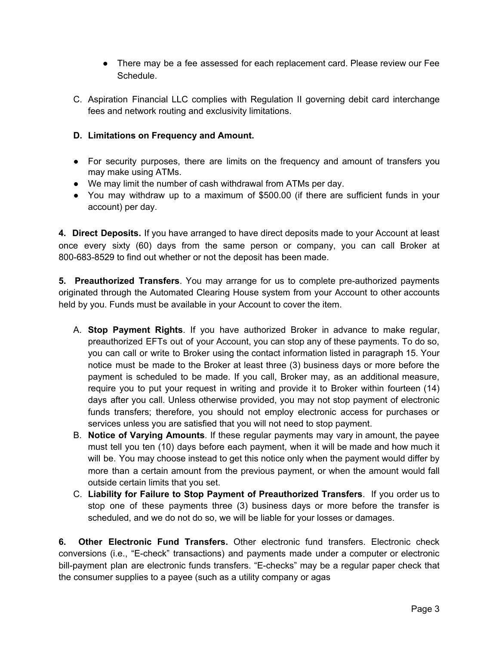- There may be a fee assessed for each replacement card. Please review our Fee Schedule.
- C. Aspiration Financial LLC complies with Regulation II governing debit card interchange fees and network routing and exclusivity limitations.

## **D. Limitations on Frequency and Amount.**

- For security purposes, there are limits on the frequency and amount of transfers you may make using ATMs.
- We may limit the number of cash withdrawal from ATMs per day.
- You may withdraw up to a maximum of \$500.00 (if there are sufficient funds in your account) per day.

**4. Direct Deposits.** If you have arranged to have direct deposits made to your Account at least once every sixty (60) days from the same person or company, you can call Broker at 800-683-8529 to find out whether or not the deposit has been made.

**5. Preauthorized Transfers**. You may arrange for us to complete pre-authorized payments originated through the Automated Clearing House system from your Account to other accounts held by you. Funds must be available in your Account to cover the item.

- A. **Stop Payment Rights**. If you have authorized Broker in advance to make regular, preauthorized EFTs out of your Account, you can stop any of these payments. To do so, you can call or write to Broker using the contact information listed in paragraph 15. Your notice must be made to the Broker at least three (3) business days or more before the payment is scheduled to be made. If you call, Broker may, as an additional measure, require you to put your request in writing and provide it to Broker within fourteen (14) days after you call. Unless otherwise provided, you may not stop payment of electronic funds transfers; therefore, you should not employ electronic access for purchases or services unless you are satisfied that you will not need to stop payment.
- B. **Notice of Varying Amounts**. If these regular payments may vary in amount, the payee must tell you ten (10) days before each payment, when it will be made and how much it will be. You may choose instead to get this notice only when the payment would differ by more than a certain amount from the previous payment, or when the amount would fall outside certain limits that you set.
- C. **Liability for Failure to Stop Payment of Preauthorized Transfers**. If you order us to stop one of these payments three (3) business days or more before the transfer is scheduled, and we do not do so, we will be liable for your losses or damages.

**6. Other Electronic Fund Transfers.** Other electronic fund transfers. Electronic check conversions (i.e., "E-check" transactions) and payments made under a computer or electronic bill-payment plan are electronic funds transfers. "E-checks" may be a regular paper check that the consumer supplies to a payee (such as a utility company or agas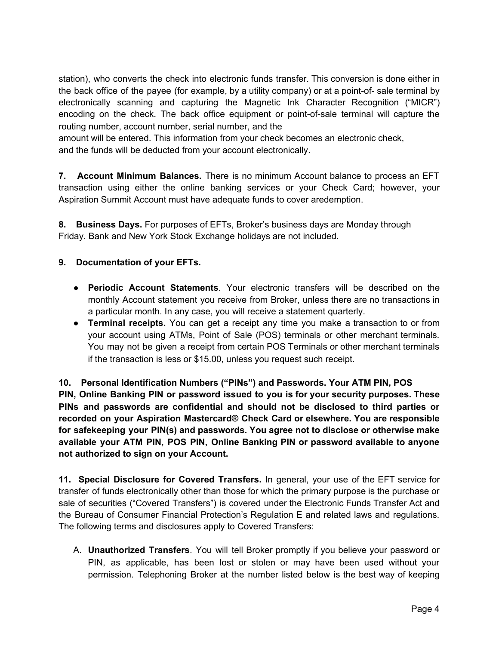station), who converts the check into electronic funds transfer. This conversion is done either in the back office of the payee (for example, by a utility company) or at a point-of- sale terminal by electronically scanning and capturing the Magnetic Ink Character Recognition ("MICR") encoding on the check. The back office equipment or point-of-sale terminal will capture the routing number, account number, serial number, and the

amount will be entered. This information from your check becomes an electronic check, and the funds will be deducted from your account electronically.

**7. Account Minimum Balances.** There is no minimum Account balance to process an EFT transaction using either the online banking services or your Check Card; however, your Aspiration Summit Account must have adequate funds to cover aredemption.

**8. Business Days.** For purposes of EFTs, Broker's business days are Monday through Friday. Bank and New York Stock Exchange holidays are not included.

## **9. Documentation of your EFTs.**

- **Periodic Account Statements**. Your electronic transfers will be described on the monthly Account statement you receive from Broker, unless there are no transactions in a particular month. In any case, you will receive a statement quarterly.
- **Terminal receipts.** You can get a receipt any time you make a transaction to or from your account using ATMs, Point of Sale (POS) terminals or other merchant terminals. You may not be given a receipt from certain POS Terminals or other merchant terminals if the transaction is less or \$15.00, unless you request such receipt.

**10. Personal Identification Numbers ("PINs") and Passwords. Your ATM PIN, POS PIN, Online Banking PIN or password issued to you is for your security purposes. These PINs and passwords are confidential and should not be disclosed to third parties or recorded on your Aspiration Mastercard® Check Card or elsewhere. You are responsible for safekeeping your PIN(s) and passwords. You agree not to disclose or otherwise make available your ATM PIN, POS PIN, Online Banking PIN or password available to anyone not authorized to sign on your Account.**

**11. Special Disclosure for Covered Transfers.** In general, your use of the EFT service for transfer of funds electronically other than those for which the primary purpose is the purchase or sale of securities ("Covered Transfers") is covered under the Electronic Funds Transfer Act and the Bureau of Consumer Financial Protection's Regulation E and related laws and regulations. The following terms and disclosures apply to Covered Transfers:

A. **Unauthorized Transfers**. You will tell Broker promptly if you believe your password or PIN, as applicable, has been lost or stolen or may have been used without your permission. Telephoning Broker at the number listed below is the best way of keeping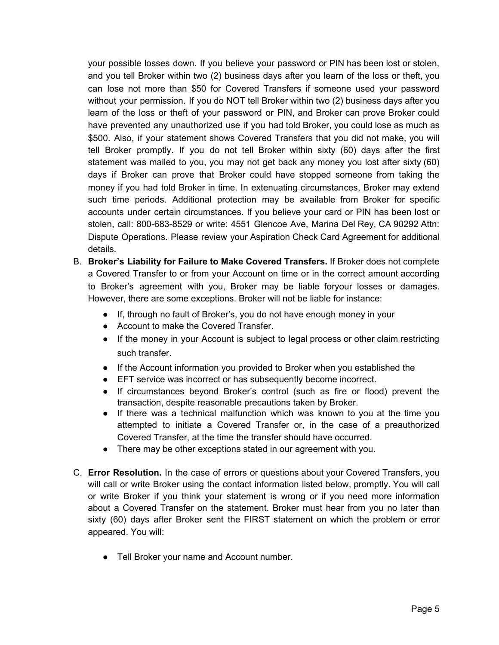your possible losses down. If you believe your password or PIN has been lost or stolen, and you tell Broker within two (2) business days after you learn of the loss or theft, you can lose not more than \$50 for Covered Transfers if someone used your password without your permission. If you do NOT tell Broker within two (2) business days after you learn of the loss or theft of your password or PIN, and Broker can prove Broker could have prevented any unauthorized use if you had told Broker, you could lose as much as \$500. Also, if your statement shows Covered Transfers that you did not make, you will tell Broker promptly. If you do not tell Broker within sixty (60) days after the first statement was mailed to you, you may not get back any money you lost after sixty (60) days if Broker can prove that Broker could have stopped someone from taking the money if you had told Broker in time. In extenuating circumstances, Broker may extend such time periods. Additional protection may be available from Broker for specific accounts under certain circumstances. If you believe your card or PIN has been lost or stolen, call: 800-683-8529 or write: 4551 Glencoe Ave, Marina Del Rey, CA 90292 Attn: Dispute Operations. Please review your Aspiration Check Card Agreement for additional details.

- B. **Broker's Liability for Failure to Make Covered Transfers.** If Broker does not complete a Covered Transfer to or from your Account on time or in the correct amount according to Broker's agreement with you, Broker may be liable foryour losses or damages. However, there are some exceptions. Broker will not be liable for instance:
	- If, through no fault of Broker's, you do not have enough money in your
	- Account to make the Covered Transfer.
	- If the money in your Account is subject to legal process or other claim restricting such transfer.
	- If the Account information you provided to Broker when you established the
	- EFT service was incorrect or has subsequently become incorrect.
	- If circumstances beyond Broker's control (such as fire or flood) prevent the transaction, despite reasonable precautions taken by Broker.
	- If there was a technical malfunction which was known to you at the time you attempted to initiate a Covered Transfer or, in the case of a preauthorized Covered Transfer, at the time the transfer should have occurred.
	- There may be other exceptions stated in our agreement with you.
- C. **Error Resolution.** In the case of errors or questions about your Covered Transfers, you will call or write Broker using the contact information listed below, promptly. You will call or write Broker if you think your statement is wrong or if you need more information about a Covered Transfer on the statement. Broker must hear from you no later than sixty (60) days after Broker sent the FIRST statement on which the problem or error appeared. You will:
	- Tell Broker your name and Account number.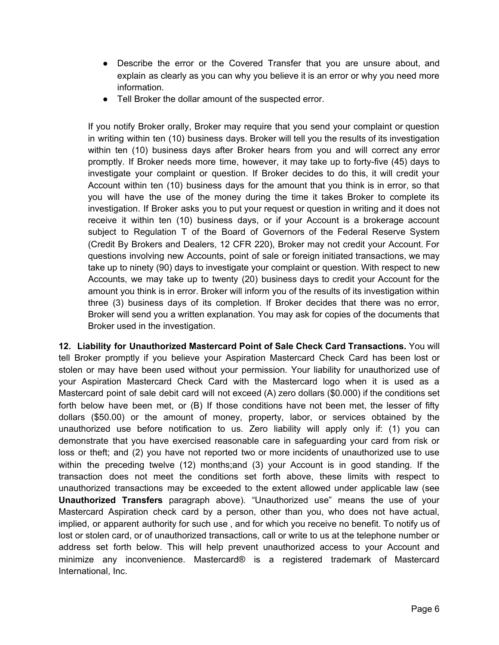- Describe the error or the Covered Transfer that you are unsure about, and explain as clearly as you can why you believe it is an error or why you need more information.
- Tell Broker the dollar amount of the suspected error.

If you notify Broker orally, Broker may require that you send your complaint or question in writing within ten (10) business days. Broker will tell you the results of its investigation within ten (10) business days after Broker hears from you and will correct any error promptly. If Broker needs more time, however, it may take up to forty-five (45) days to investigate your complaint or question. If Broker decides to do this, it will credit your Account within ten (10) business days for the amount that you think is in error, so that you will have the use of the money during the time it takes Broker to complete its investigation. If Broker asks you to put your request or question in writing and it does not receive it within ten (10) business days, or if your Account is a brokerage account subject to Regulation T of the Board of Governors of the Federal Reserve System (Credit By Brokers and Dealers, 12 CFR 220), Broker may not credit your Account. For questions involving new Accounts, point of sale or foreign initiated transactions, we may take up to ninety (90) days to investigate your complaint or question. With respect to new Accounts, we may take up to twenty (20) business days to credit your Account for the amount you think is in error. Broker will inform you of the results of its investigation within three (3) business days of its completion. If Broker decides that there was no error, Broker will send you a written explanation. You may ask for copies of the documents that Broker used in the investigation.

**12. Liability for Unauthorized Mastercard Point of Sale Check Card Transactions.** You will tell Broker promptly if you believe your Aspiration Mastercard Check Card has been lost or stolen or may have been used without your permission. Your liability for unauthorized use of your Aspiration Mastercard Check Card with the Mastercard logo when it is used as a Mastercard point of sale debit card will not exceed (A) zero dollars (\$0.000) if the conditions set forth below have been met, or (B) If those conditions have not been met, the lesser of fifty dollars (\$50.00) or the amount of money, property, labor, or services obtained by the unauthorized use before notification to us. Zero liability will apply only if: (1) you can demonstrate that you have exercised reasonable care in safeguarding your card from risk or loss or theft; and (2) you have not reported two or more incidents of unauthorized use to use within the preceding twelve (12) months;and (3) your Account is in good standing. If the transaction does not meet the conditions set forth above, these limits with respect to unauthorized transactions may be exceeded to the extent allowed under applicable law (see **Unauthorized Transfers** paragraph above). "Unauthorized use" means the use of your Mastercard Aspiration check card by a person, other than you, who does not have actual, implied, or apparent authority for such use , and for which you receive no benefit. To notify us of lost or stolen card, or of unauthorized transactions, call or write to us at the telephone number or address set forth below. This will help prevent unauthorized access to your Account and minimize any inconvenience. Mastercard® is a registered trademark of Mastercard International, Inc.